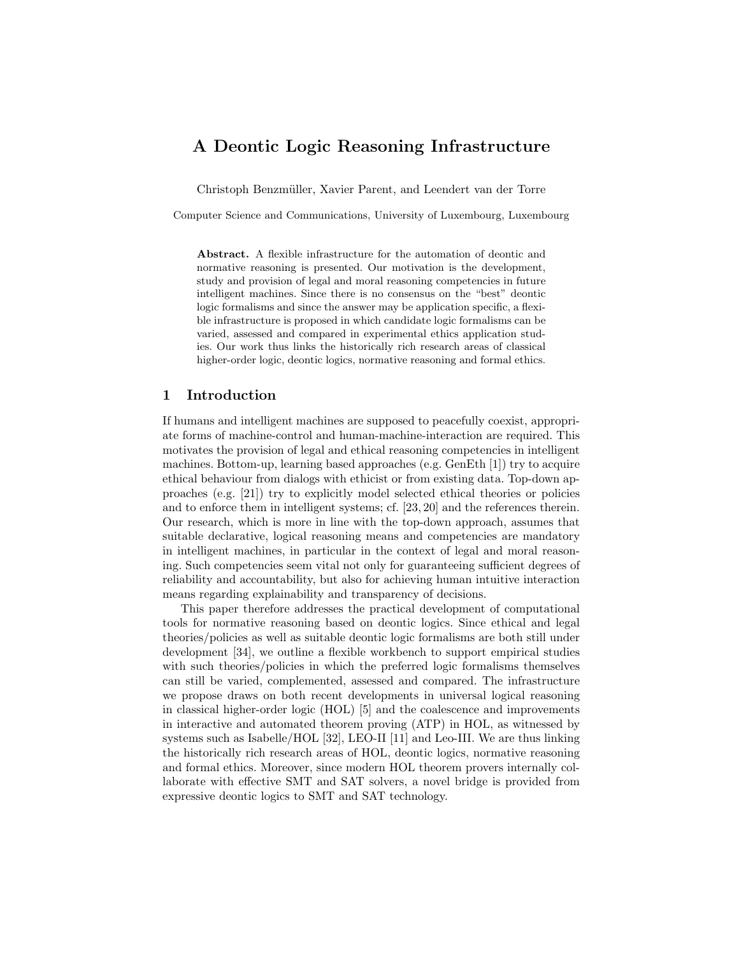# A Deontic Logic Reasoning Infrastructure

Christoph Benzmüller, Xavier Parent, and Leendert van der Torre

Computer Science and Communications, University of Luxembourg, Luxembourg

Abstract. A flexible infrastructure for the automation of deontic and normative reasoning is presented. Our motivation is the development, study and provision of legal and moral reasoning competencies in future intelligent machines. Since there is no consensus on the "best" deontic logic formalisms and since the answer may be application specific, a flexible infrastructure is proposed in which candidate logic formalisms can be varied, assessed and compared in experimental ethics application studies. Our work thus links the historically rich research areas of classical higher-order logic, deontic logics, normative reasoning and formal ethics.

### 1 Introduction

If humans and intelligent machines are supposed to peacefully coexist, appropriate forms of machine-control and human-machine-interaction are required. This motivates the provision of legal and ethical reasoning competencies in intelligent machines. Bottom-up, learning based approaches (e.g. GenEth [1]) try to acquire ethical behaviour from dialogs with ethicist or from existing data. Top-down approaches (e.g. [21]) try to explicitly model selected ethical theories or policies and to enforce them in intelligent systems; cf. [23, 20] and the references therein. Our research, which is more in line with the top-down approach, assumes that suitable declarative, logical reasoning means and competencies are mandatory in intelligent machines, in particular in the context of legal and moral reasoning. Such competencies seem vital not only for guaranteeing sufficient degrees of reliability and accountability, but also for achieving human intuitive interaction means regarding explainability and transparency of decisions.

This paper therefore addresses the practical development of computational tools for normative reasoning based on deontic logics. Since ethical and legal theories/policies as well as suitable deontic logic formalisms are both still under development [34], we outline a flexible workbench to support empirical studies with such theories/policies in which the preferred logic formalisms themselves can still be varied, complemented, assessed and compared. The infrastructure we propose draws on both recent developments in universal logical reasoning in classical higher-order logic (HOL) [5] and the coalescence and improvements in interactive and automated theorem proving (ATP) in HOL, as witnessed by systems such as Isabelle/HOL [32], LEO-II [11] and Leo-III. We are thus linking the historically rich research areas of HOL, deontic logics, normative reasoning and formal ethics. Moreover, since modern HOL theorem provers internally collaborate with effective SMT and SAT solvers, a novel bridge is provided from expressive deontic logics to SMT and SAT technology.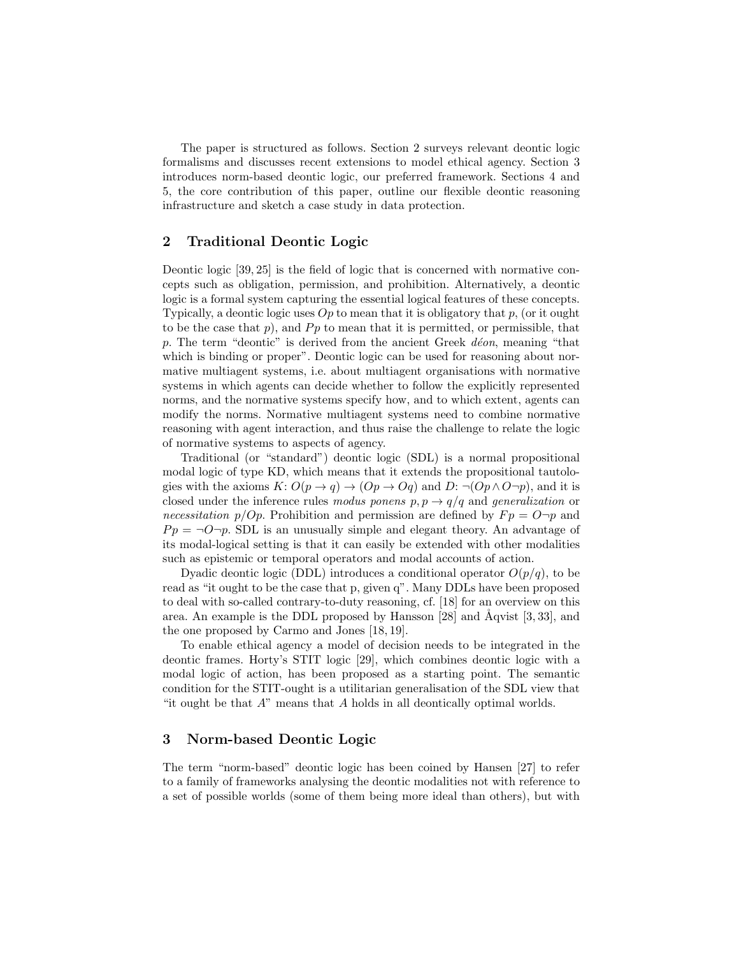The paper is structured as follows. Section 2 surveys relevant deontic logic formalisms and discusses recent extensions to model ethical agency. Section 3 introduces norm-based deontic logic, our preferred framework. Sections 4 and 5, the core contribution of this paper, outline our flexible deontic reasoning infrastructure and sketch a case study in data protection.

# 2 Traditional Deontic Logic

Deontic logic [39, 25] is the field of logic that is concerned with normative concepts such as obligation, permission, and prohibition. Alternatively, a deontic logic is a formal system capturing the essential logical features of these concepts. Typically, a deontic logic uses  $Op$  to mean that it is obligatory that p, (or it ought to be the case that p), and  $Pp$  to mean that it is permitted, or permissible, that p. The term "deontic" is derived from the ancient Greek  $d\acute{e}on$ , meaning "that which is binding or proper". Deontic logic can be used for reasoning about normative multiagent systems, i.e. about multiagent organisations with normative systems in which agents can decide whether to follow the explicitly represented norms, and the normative systems specify how, and to which extent, agents can modify the norms. Normative multiagent systems need to combine normative reasoning with agent interaction, and thus raise the challenge to relate the logic of normative systems to aspects of agency.

Traditional (or "standard") deontic logic (SDL) is a normal propositional modal logic of type KD, which means that it extends the propositional tautologies with the axioms  $K: O(p \to q) \to (Op \to Oq)$  and  $D: \neg (Op \wedge O\neg p)$ , and it is closed under the inference rules modus ponens  $p, p \rightarrow q/q$  and generalization or necessitation  $p/Op$ . Prohibition and permission are defined by  $Fp = O\neg p$  and  $Pp = \neg O\neg p$ . SDL is an unusually simple and elegant theory. An advantage of its modal-logical setting is that it can easily be extended with other modalities such as epistemic or temporal operators and modal accounts of action.

Dyadic deontic logic (DDL) introduces a conditional operator  $O(p/q)$ , to be read as "it ought to be the case that p, given q". Many DDLs have been proposed to deal with so-called contrary-to-duty reasoning, cf. [18] for an overview on this area. An example is the DDL proposed by Hansson  $[28]$  and  $\AA$ qvist  $[3, 33]$ , and the one proposed by Carmo and Jones [18, 19].

To enable ethical agency a model of decision needs to be integrated in the deontic frames. Horty's STIT logic [29], which combines deontic logic with a modal logic of action, has been proposed as a starting point. The semantic condition for the STIT-ought is a utilitarian generalisation of the SDL view that "it ought be that A" means that A holds in all deontically optimal worlds.

# 3 Norm-based Deontic Logic

The term "norm-based" deontic logic has been coined by Hansen [27] to refer to a family of frameworks analysing the deontic modalities not with reference to a set of possible worlds (some of them being more ideal than others), but with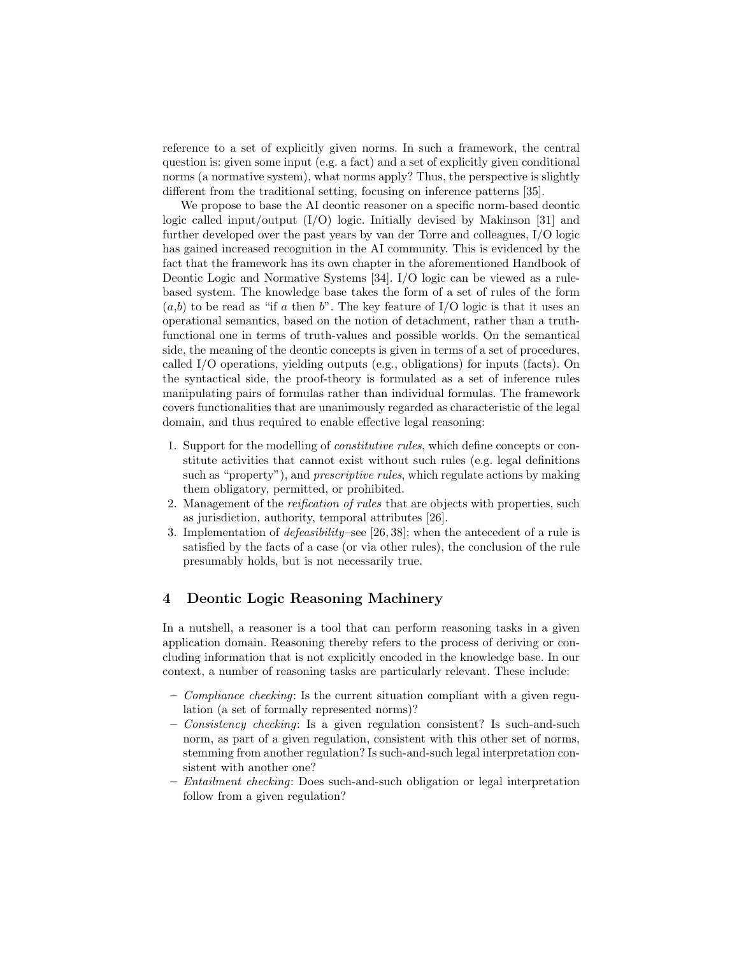reference to a set of explicitly given norms. In such a framework, the central question is: given some input (e.g. a fact) and a set of explicitly given conditional norms (a normative system), what norms apply? Thus, the perspective is slightly different from the traditional setting, focusing on inference patterns [35].

We propose to base the AI deontic reasoner on a specific norm-based deontic logic called input/output (I/O) logic. Initially devised by Makinson [31] and further developed over the past years by van der Torre and colleagues, I/O logic has gained increased recognition in the AI community. This is evidenced by the fact that the framework has its own chapter in the aforementioned Handbook of Deontic Logic and Normative Systems [34]. I/O logic can be viewed as a rulebased system. The knowledge base takes the form of a set of rules of the form  $(a,b)$  to be read as "if a then b". The key feature of I/O logic is that it uses an operational semantics, based on the notion of detachment, rather than a truthfunctional one in terms of truth-values and possible worlds. On the semantical side, the meaning of the deontic concepts is given in terms of a set of procedures, called I/O operations, yielding outputs (e.g., obligations) for inputs (facts). On the syntactical side, the proof-theory is formulated as a set of inference rules manipulating pairs of formulas rather than individual formulas. The framework covers functionalities that are unanimously regarded as characteristic of the legal domain, and thus required to enable effective legal reasoning:

- 1. Support for the modelling of constitutive rules, which define concepts or constitute activities that cannot exist without such rules (e.g. legal definitions such as "property"), and *prescriptive rules*, which regulate actions by making them obligatory, permitted, or prohibited.
- 2. Management of the *reification of rules* that are objects with properties, such as jurisdiction, authority, temporal attributes [26].
- 3. Implementation of defeasibility–see [26, 38]; when the antecedent of a rule is satisfied by the facts of a case (or via other rules), the conclusion of the rule presumably holds, but is not necessarily true.

# 4 Deontic Logic Reasoning Machinery

In a nutshell, a reasoner is a tool that can perform reasoning tasks in a given application domain. Reasoning thereby refers to the process of deriving or concluding information that is not explicitly encoded in the knowledge base. In our context, a number of reasoning tasks are particularly relevant. These include:

- $\sim$  *Compliance checking*: Is the current situation compliant with a given regulation (a set of formally represented norms)?
- Consistency checking: Is a given regulation consistent? Is such-and-such norm, as part of a given regulation, consistent with this other set of norms, stemming from another regulation? Is such-and-such legal interpretation consistent with another one?
- Entailment checking: Does such-and-such obligation or legal interpretation follow from a given regulation?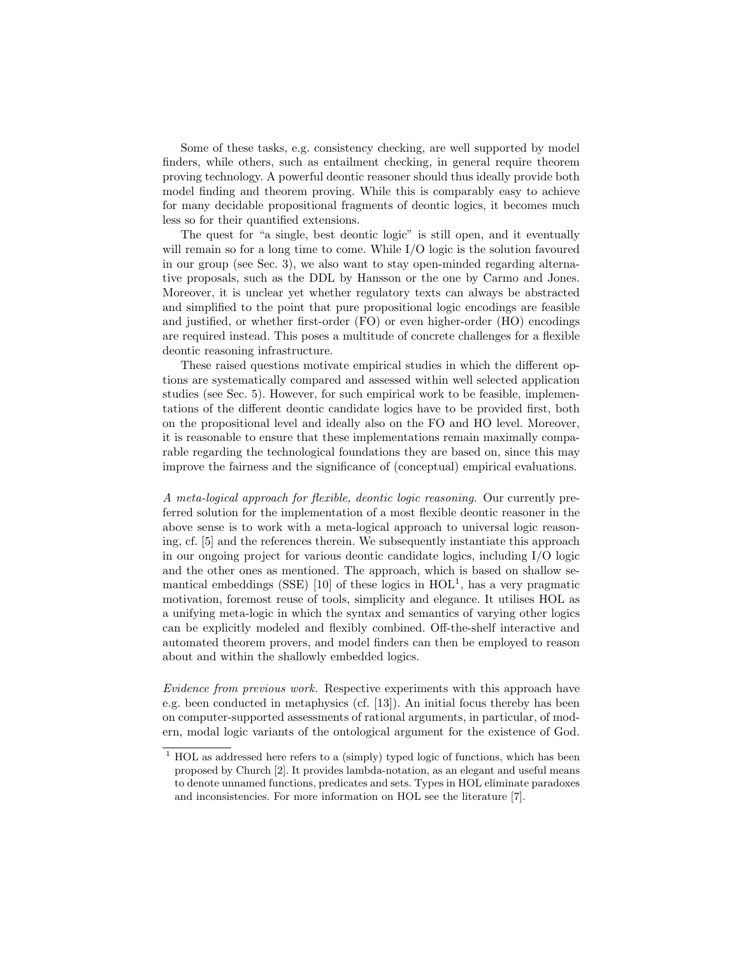Some of these tasks, e.g. consistency checking, are well supported by model finders, while others, such as entailment checking, in general require theorem proving technology. A powerful deontic reasoner should thus ideally provide both model finding and theorem proving. While this is comparably easy to achieve for many decidable propositional fragments of deontic logics, it becomes much less so for their quantified extensions.

The quest for "a single, best deontic logic" is still open, and it eventually will remain so for a long time to come. While I/O logic is the solution favoured in our group (see Sec. 3), we also want to stay open-minded regarding alternative proposals, such as the DDL by Hansson or the one by Carmo and Jones. Moreover, it is unclear yet whether regulatory texts can always be abstracted and simplified to the point that pure propositional logic encodings are feasible and justified, or whether first-order (FO) or even higher-order (HO) encodings are required instead. This poses a multitude of concrete challenges for a flexible deontic reasoning infrastructure.

These raised questions motivate empirical studies in which the different options are systematically compared and assessed within well selected application studies (see Sec. 5). However, for such empirical work to be feasible, implementations of the different deontic candidate logics have to be provided first, both on the propositional level and ideally also on the FO and HO level. Moreover, it is reasonable to ensure that these implementations remain maximally comparable regarding the technological foundations they are based on, since this may improve the fairness and the significance of (conceptual) empirical evaluations.

A meta-logical approach for flexible, deontic logic reasoning. Our currently preferred solution for the implementation of a most flexible deontic reasoner in the above sense is to work with a meta-logical approach to universal logic reasoning, cf. [5] and the references therein. We subsequently instantiate this approach in our ongoing project for various deontic candidate logics, including I/O logic and the other ones as mentioned. The approach, which is based on shallow semantical embeddings (SSE) [10] of these logics in  $HOL<sup>1</sup>$ , has a very pragmatic motivation, foremost reuse of tools, simplicity and elegance. It utilises HOL as a unifying meta-logic in which the syntax and semantics of varying other logics can be explicitly modeled and flexibly combined. Off-the-shelf interactive and automated theorem provers, and model finders can then be employed to reason about and within the shallowly embedded logics.

Evidence from previous work. Respective experiments with this approach have e.g. been conducted in metaphysics (cf. [13]). An initial focus thereby has been on computer-supported assessments of rational arguments, in particular, of modern, modal logic variants of the ontological argument for the existence of God.

<sup>&</sup>lt;sup>1</sup> HOL as addressed here refers to a (simply) typed logic of functions, which has been proposed by Church [2]. It provides lambda-notation, as an elegant and useful means to denote unnamed functions, predicates and sets. Types in HOL eliminate paradoxes and inconsistencies. For more information on HOL see the literature [7].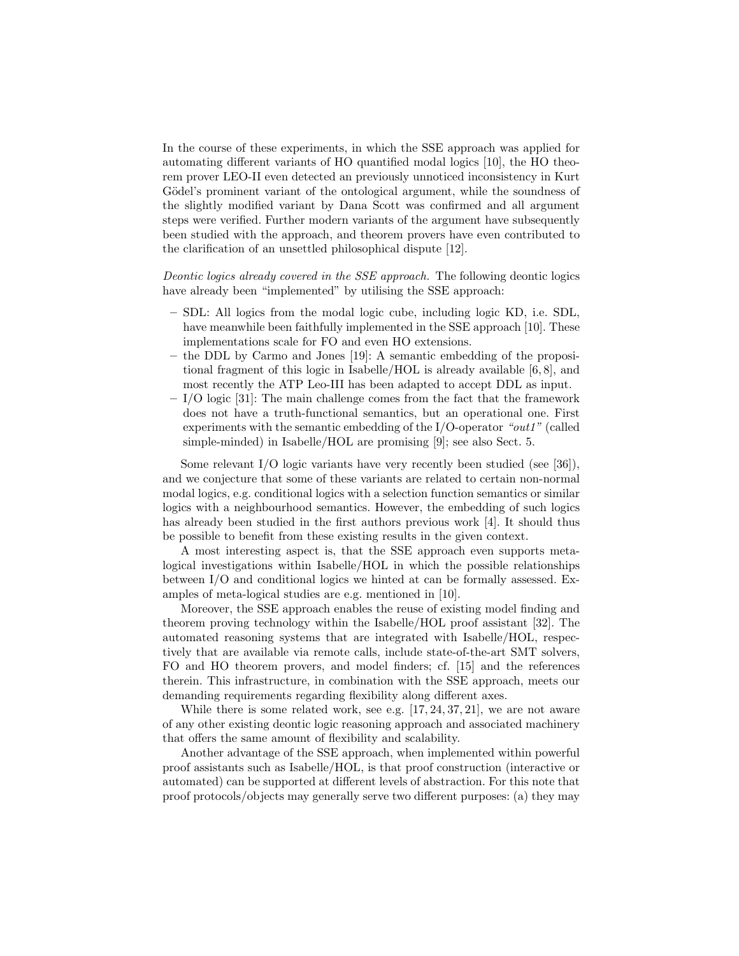In the course of these experiments, in which the SSE approach was applied for automating different variants of HO quantified modal logics [10], the HO theorem prover LEO-II even detected an previously unnoticed inconsistency in Kurt Gödel's prominent variant of the ontological argument, while the soundness of the slightly modified variant by Dana Scott was confirmed and all argument steps were verified. Further modern variants of the argument have subsequently been studied with the approach, and theorem provers have even contributed to the clarification of an unsettled philosophical dispute [12].

Deontic logics already covered in the SSE approach. The following deontic logics have already been "implemented" by utilising the SSE approach:

- SDL: All logics from the modal logic cube, including logic KD, i.e. SDL, have meanwhile been faithfully implemented in the SSE approach [10]. These implementations scale for FO and even HO extensions.
- the DDL by Carmo and Jones [19]: A semantic embedding of the propositional fragment of this logic in Isabelle/HOL is already available [6, 8], and most recently the ATP Leo-III has been adapted to accept DDL as input.
- I/O logic [31]: The main challenge comes from the fact that the framework does not have a truth-functional semantics, but an operational one. First experiments with the semantic embedding of the I/O-operator "out1" (called simple-minded) in Isabelle/HOL are promising [9]; see also Sect. 5.

Some relevant I/O logic variants have very recently been studied (see [36]), and we conjecture that some of these variants are related to certain non-normal modal logics, e.g. conditional logics with a selection function semantics or similar logics with a neighbourhood semantics. However, the embedding of such logics has already been studied in the first authors previous work [4]. It should thus be possible to benefit from these existing results in the given context.

A most interesting aspect is, that the SSE approach even supports metalogical investigations within Isabelle/HOL in which the possible relationships between I/O and conditional logics we hinted at can be formally assessed. Examples of meta-logical studies are e.g. mentioned in [10].

Moreover, the SSE approach enables the reuse of existing model finding and theorem proving technology within the Isabelle/HOL proof assistant [32]. The automated reasoning systems that are integrated with Isabelle/HOL, respectively that are available via remote calls, include state-of-the-art SMT solvers, FO and HO theorem provers, and model finders; cf. [15] and the references therein. This infrastructure, in combination with the SSE approach, meets our demanding requirements regarding flexibility along different axes.

While there is some related work, see e.g. [17, 24, 37, 21], we are not aware of any other existing deontic logic reasoning approach and associated machinery that offers the same amount of flexibility and scalability.

Another advantage of the SSE approach, when implemented within powerful proof assistants such as Isabelle/HOL, is that proof construction (interactive or automated) can be supported at different levels of abstraction. For this note that proof protocols/objects may generally serve two different purposes: (a) they may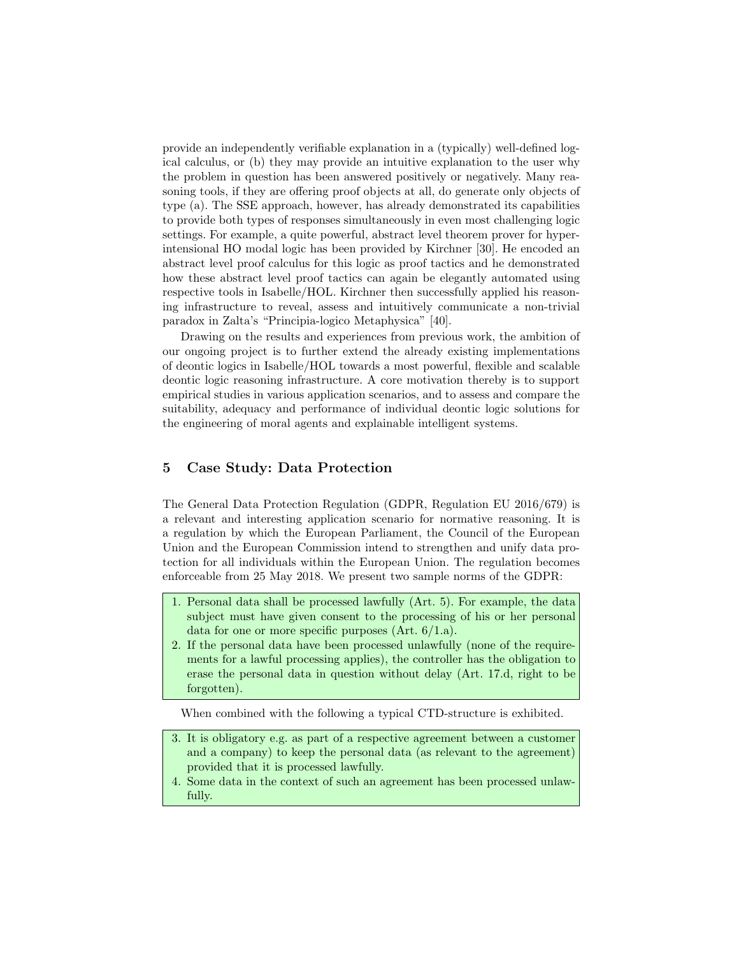provide an independently verifiable explanation in a (typically) well-defined logical calculus, or (b) they may provide an intuitive explanation to the user why the problem in question has been answered positively or negatively. Many reasoning tools, if they are offering proof objects at all, do generate only objects of type (a). The SSE approach, however, has already demonstrated its capabilities to provide both types of responses simultaneously in even most challenging logic settings. For example, a quite powerful, abstract level theorem prover for hyperintensional HO modal logic has been provided by Kirchner [30]. He encoded an abstract level proof calculus for this logic as proof tactics and he demonstrated how these abstract level proof tactics can again be elegantly automated using respective tools in Isabelle/HOL. Kirchner then successfully applied his reasoning infrastructure to reveal, assess and intuitively communicate a non-trivial paradox in Zalta's "Principia-logico Metaphysica" [40].

Drawing on the results and experiences from previous work, the ambition of our ongoing project is to further extend the already existing implementations of deontic logics in Isabelle/HOL towards a most powerful, flexible and scalable deontic logic reasoning infrastructure. A core motivation thereby is to support empirical studies in various application scenarios, and to assess and compare the suitability, adequacy and performance of individual deontic logic solutions for the engineering of moral agents and explainable intelligent systems.

#### 5 Case Study: Data Protection

The General Data Protection Regulation (GDPR, Regulation EU 2016/679) is a relevant and interesting application scenario for normative reasoning. It is a regulation by which the European Parliament, the Council of the European Union and the European Commission intend to strengthen and unify data protection for all individuals within the European Union. The regulation becomes enforceable from 25 May 2018. We present two sample norms of the GDPR:

- 1. Personal data shall be processed lawfully (Art. 5). For example, the data subject must have given consent to the processing of his or her personal data for one or more specific purposes  $(Art. 6/1.a)$ .
- 2. If the personal data have been processed unlawfully (none of the requirements for a lawful processing applies), the controller has the obligation to erase the personal data in question without delay (Art. 17.d, right to be forgotten).

When combined with the following a typical CTD-structure is exhibited.

- 3. It is obligatory e.g. as part of a respective agreement between a customer and a company) to keep the personal data (as relevant to the agreement) provided that it is processed lawfully.
- 4. Some data in the context of such an agreement has been processed unlawfully.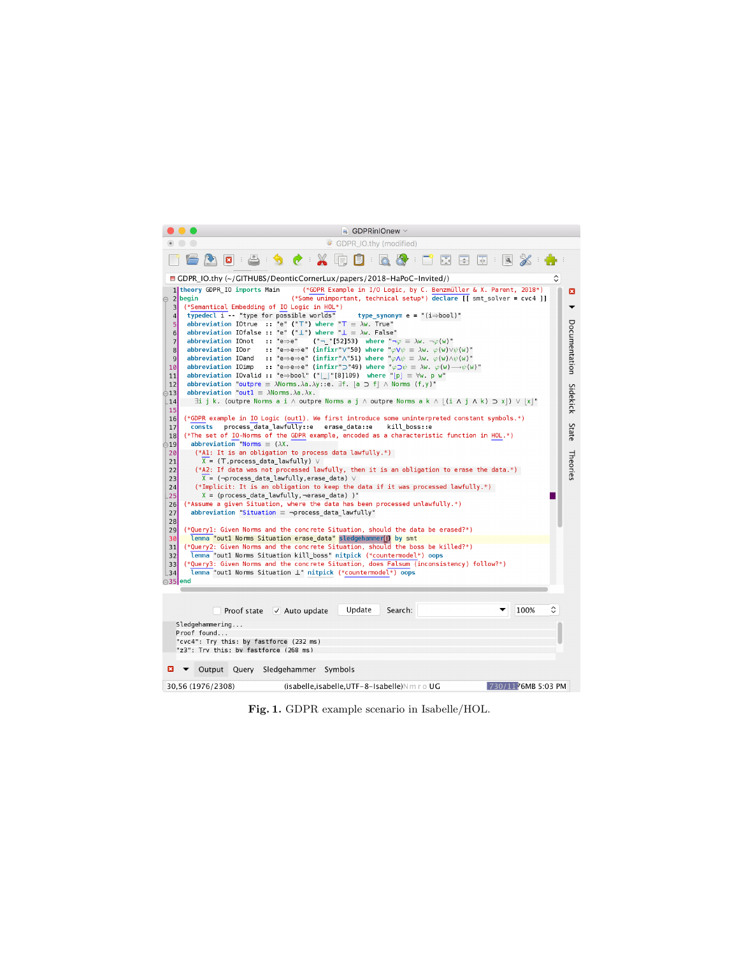|                                                                                                                                 | $\approx$ GDPRinIOnew $\sim$                                                                                                                                                                                                                        |               |  |
|---------------------------------------------------------------------------------------------------------------------------------|-----------------------------------------------------------------------------------------------------------------------------------------------------------------------------------------------------------------------------------------------------|---------------|--|
|                                                                                                                                 | SGDPR_IO.thy (modified)                                                                                                                                                                                                                             |               |  |
| $\mathbb{Z}$<br>$\rightarrow$<br>$\overline{\mathbb{E}}$<br>區<br>第 三國<br>$\mathbf{E}$<br>lie.<br>$\overline{\bullet}$<br>☞<br>H |                                                                                                                                                                                                                                                     |               |  |
| ■ GDPR_IO.thy (~/GITHUBS/DeonticCornerLux/papers/2018-HaPoC-Invited/)                                                           |                                                                                                                                                                                                                                                     |               |  |
| 1 theory GDPR IO imports Main<br>(*GDPR Example in I/O Logic, by C. Benzmüller & X. Parent, 2018*)<br>ø                         |                                                                                                                                                                                                                                                     |               |  |
| $\ominus$                                                                                                                       | (*Some unimportant, technical setup*) declare [[ smt solver = cvc4 ]]<br>$2$ begin<br>(*Semantical Embedding of IO Logic in HOL*)                                                                                                                   |               |  |
| 3 <sup>1</sup><br>$\overline{4}$                                                                                                | typedecl i -- "type for possible worlds"<br>type synonym e = " $(i \Rightarrow \text{bool})$ "                                                                                                                                                      |               |  |
| 5 <sup>1</sup>                                                                                                                  | abbreviation IOtrue :: "e" ("T") where "T $\equiv \lambda w$ . True"                                                                                                                                                                                |               |  |
| 6                                                                                                                               | abbreviation IOfalse :: "e" (" $\perp$ ") where " $\perp \equiv \lambda w$ . False"                                                                                                                                                                 | Documentation |  |
| $\overline{7}$                                                                                                                  | abbreviation IOnot<br>:: "е⇒е"<br>$("\neg$ "[52]53) where " $\neg \varphi \equiv \lambda w$ . $\neg \varphi(w)$ "                                                                                                                                   |               |  |
| 8<br>9                                                                                                                          | abbreviation IOor<br>:: "e⇒e⇒e" (infixr"∨"50) where " $\varphi$ V $\psi \equiv \lambda$ w. $\varphi$ (w)∨ $\psi$ (w)"<br>abbreviation IOand<br>:: "e⇒e⇒e" (infixr"∧"51) where " $\varphi \Lambda \psi \equiv \lambda$ w. $\varphi$ (w)∧ $\psi$ (w)" |               |  |
| 10                                                                                                                              | abbreviation IOimp<br>:: "e⇒e⇒e" (infixr"⊃"49) where " $\varphi$ ⊃ $\psi$ $\equiv$ $\lambda$ w. $\varphi$ (w)— $\psi$ (w)"                                                                                                                          |               |  |
| 11                                                                                                                              | abbreviation IOvalid :: "e $\Rightarrow$ bool" ("   "[8]109) where " p  $\equiv \forall w.$ p w"                                                                                                                                                    |               |  |
| 12                                                                                                                              | abbreviation "outpre = $\lambda$ Norms. $\lambda$ a. $\lambda$ y: e. $\exists$ f.  a $\supset$ f  $\wedge$ Norms (f,y)"                                                                                                                             |               |  |
| $\ominus$ 13                                                                                                                    | abbreviation "outl $\equiv \lambda$ Norms $\lambda$ a $\lambda$ x.                                                                                                                                                                                  | Sidekick      |  |
| 14                                                                                                                              | $\exists i \ j \ k.$ (outpre Norms a i $\land$ outpre Norms a j $\land$ outpre Norms a k $\land$ $ (i \land j \land k) \supset x $ ) $\lor  x $ "                                                                                                   |               |  |
| 15<br>16                                                                                                                        | (*GDPR example in IO Logic (out1). We first introduce some uninterpreted constant symbols.*)                                                                                                                                                        |               |  |
| 17                                                                                                                              | process data lawfully::e erase data::e<br>kill boss::e<br>consts                                                                                                                                                                                    |               |  |
| 18                                                                                                                              | (*The set of IO-Norms of the GDPR example, encoded as a characteristic function in HOL.*)                                                                                                                                                           | State         |  |
| 19                                                                                                                              | abbreviation "Norms $\equiv$ ( $\lambda$ X.                                                                                                                                                                                                         |               |  |
| 20                                                                                                                              | (*A1: It is an obligation to process data lawfully.*)                                                                                                                                                                                               | Theories      |  |
| 21<br>22                                                                                                                        | $X = (T,$ process data lawfully) $\vee$<br>(*A2: If data was not processed lawfully, then it is an obligation to erase the data.*)                                                                                                                  |               |  |
| 23                                                                                                                              | $X = (\neg$ process data lawfully, erase data) $\vee$                                                                                                                                                                                               |               |  |
| 24                                                                                                                              | (*Implicit: It is an obligation to keep the data if it was processed lawfully.*)                                                                                                                                                                    |               |  |
| 25                                                                                                                              | $X = (process_data_lawfully, \neg erase_data)$ )"                                                                                                                                                                                                   |               |  |
| 26                                                                                                                              | (*Assume a given Situation, where the data has been processed unlawfully.*)                                                                                                                                                                         |               |  |
| 27                                                                                                                              | abbreviation "Situation $\equiv$ -process data lawfully"                                                                                                                                                                                            |               |  |
| 28<br>29                                                                                                                        | (*Query1: Given Norms and the concrete Situation, should the data be erased?*)                                                                                                                                                                      |               |  |
| 30                                                                                                                              | lemma "outl Norms Situation erase_data" sledgehammer() by smt                                                                                                                                                                                       |               |  |
| 31                                                                                                                              | (*Query2: Given Norms and the concrete Situation, should the boss be killed?*)                                                                                                                                                                      |               |  |
| 32                                                                                                                              | lemma "out1 Norms Situation kill boss" nitpick (*countermodel*) oops                                                                                                                                                                                |               |  |
| 33                                                                                                                              | (*Query3: Given Norms and the concrete Situation, does Falsum (inconsistency) follow?*)                                                                                                                                                             |               |  |
| 34                                                                                                                              | lemma "outl Norms Situation L" nitpick (*countermodel*) oops                                                                                                                                                                                        |               |  |
| $\odot$ 35 end                                                                                                                  |                                                                                                                                                                                                                                                     |               |  |
|                                                                                                                                 |                                                                                                                                                                                                                                                     |               |  |
|                                                                                                                                 | ≎<br>Update<br>Search:<br>100%<br>Proof state $\vee$ Auto update                                                                                                                                                                                    |               |  |
| $S$ ledgehammering                                                                                                              |                                                                                                                                                                                                                                                     |               |  |
|                                                                                                                                 | Proof found<br>"cvc4": Try this: by fastforce (232 ms)                                                                                                                                                                                              |               |  |
|                                                                                                                                 | "z3": Trv this: by fastforce (268 ms)                                                                                                                                                                                                               |               |  |
|                                                                                                                                 |                                                                                                                                                                                                                                                     |               |  |
| ø<br>Output Query Sledgehammer<br>Symbols                                                                                       |                                                                                                                                                                                                                                                     |               |  |
|                                                                                                                                 | 730/1176MB 5:03 PM<br>30,56 (1976/2308)<br>(isabelle,isabelle, UTF-8-Isabelle) N m r o UG                                                                                                                                                           |               |  |

Fig. 1. GDPR example scenario in Isabelle/HOL.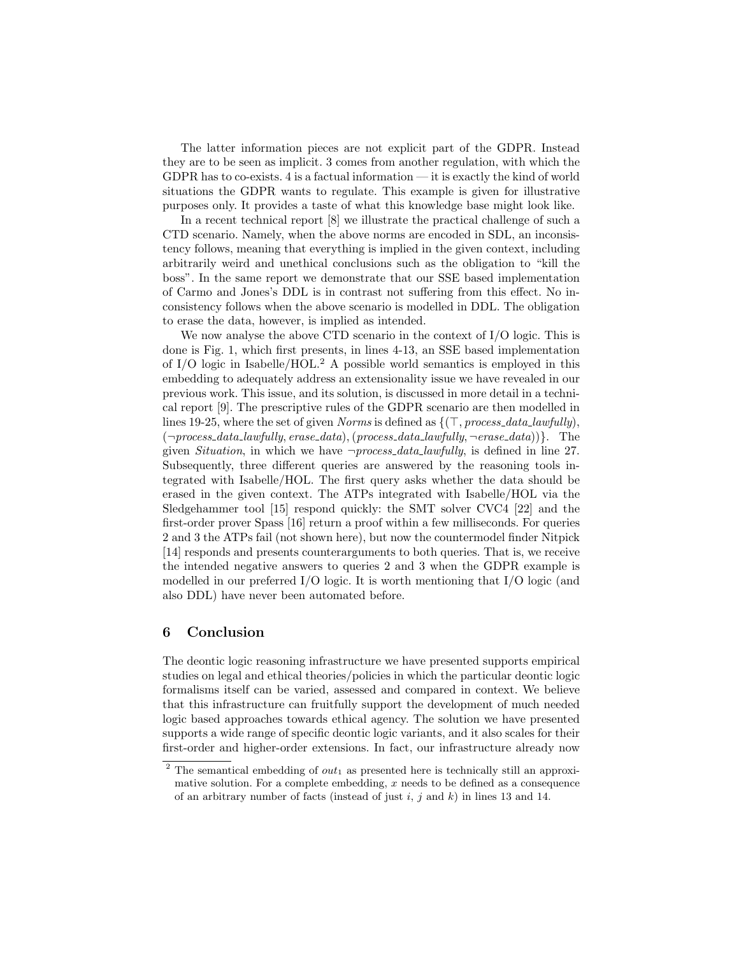The latter information pieces are not explicit part of the GDPR. Instead they are to be seen as implicit. 3 comes from another regulation, with which the GDPR has to co-exists. 4 is a factual information — it is exactly the kind of world situations the GDPR wants to regulate. This example is given for illustrative purposes only. It provides a taste of what this knowledge base might look like.

In a recent technical report [8] we illustrate the practical challenge of such a CTD scenario. Namely, when the above norms are encoded in SDL, an inconsistency follows, meaning that everything is implied in the given context, including arbitrarily weird and unethical conclusions such as the obligation to "kill the boss". In the same report we demonstrate that our SSE based implementation of Carmo and Jones's DDL is in contrast not suffering from this effect. No inconsistency follows when the above scenario is modelled in DDL. The obligation to erase the data, however, is implied as intended.

We now analyse the above CTD scenario in the context of I/O logic. This is done is Fig. 1, which first presents, in lines 4-13, an SSE based implementation of  $I/O$  logic in Isabelle/HOL.<sup>2</sup> A possible world semantics is employed in this embedding to adequately address an extensionality issue we have revealed in our previous work. This issue, and its solution, is discussed in more detail in a technical report [9]. The prescriptive rules of the GDPR scenario are then modelled in lines 19-25, where the set of given Norms is defined as  $\{(\top, process\_data\_lawfully),\}$  $(\neg process\_data\_lawfully, \n erase\_data), (\n process\_data\_lawfully, \n \neg erase\_data))$  }. The given Situation, in which we have  $\neg$ process\_data\_lawfully, is defined in line 27. Subsequently, three different queries are answered by the reasoning tools integrated with Isabelle/HOL. The first query asks whether the data should be erased in the given context. The ATPs integrated with Isabelle/HOL via the Sledgehammer tool [15] respond quickly: the SMT solver CVC4 [22] and the first-order prover Spass [16] return a proof within a few milliseconds. For queries 2 and 3 the ATPs fail (not shown here), but now the countermodel finder Nitpick [14] responds and presents counterarguments to both queries. That is, we receive the intended negative answers to queries 2 and 3 when the GDPR example is modelled in our preferred I/O logic. It is worth mentioning that I/O logic (and also DDL) have never been automated before.

#### 6 Conclusion

The deontic logic reasoning infrastructure we have presented supports empirical studies on legal and ethical theories/policies in which the particular deontic logic formalisms itself can be varied, assessed and compared in context. We believe that this infrastructure can fruitfully support the development of much needed logic based approaches towards ethical agency. The solution we have presented supports a wide range of specific deontic logic variants, and it also scales for their first-order and higher-order extensions. In fact, our infrastructure already now

 $2$  The semantical embedding of  $out_1$  as presented here is technically still an approximative solution. For a complete embedding,  $x$  needs to be defined as a consequence of an arbitrary number of facts (instead of just  $i, j$  and  $k$ ) in lines 13 and 14.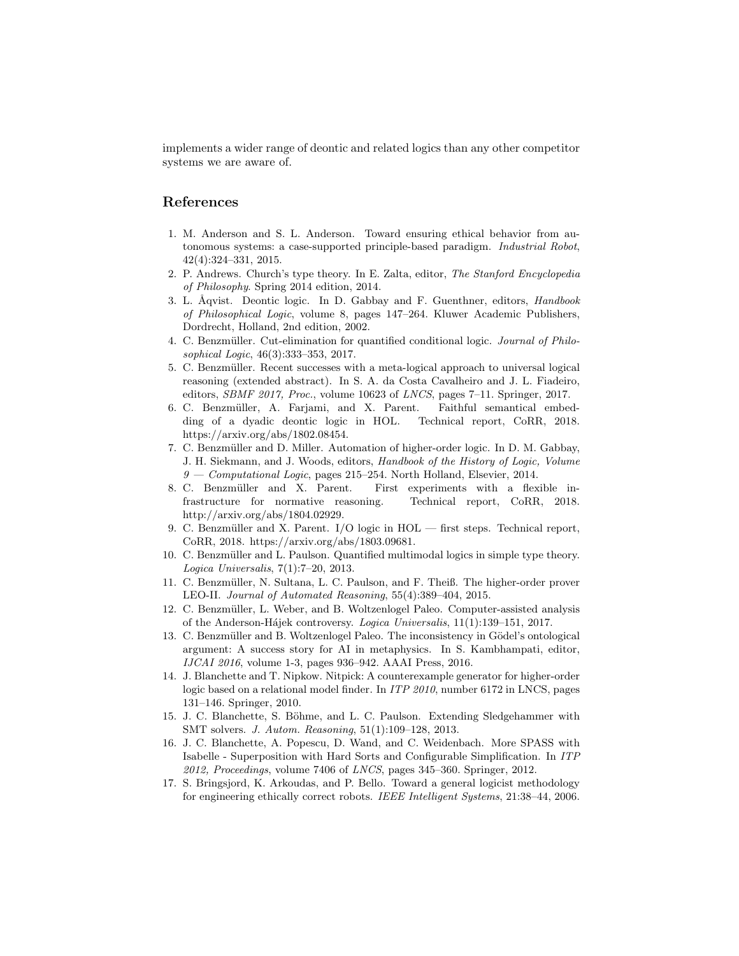implements a wider range of deontic and related logics than any other competitor systems we are aware of.

### References

- 1. M. Anderson and S. L. Anderson. Toward ensuring ethical behavior from autonomous systems: a case-supported principle-based paradigm. Industrial Robot, 42(4):324–331, 2015.
- 2. P. Andrews. Church's type theory. In E. Zalta, editor, The Stanford Encyclopedia of Philosophy. Spring 2014 edition, 2014.
- 3. L. Åqvist. Deontic logic. In D. Gabbay and F. Guenthner, editors, *Handbook* of Philosophical Logic, volume 8, pages 147–264. Kluwer Academic Publishers, Dordrecht, Holland, 2nd edition, 2002.
- 4. C. Benzmüller. Cut-elimination for quantified conditional logic. *Journal of Philo*sophical Logic, 46(3):333–353, 2017.
- 5. C. Benzmüller. Recent successes with a meta-logical approach to universal logical reasoning (extended abstract). In S. A. da Costa Cavalheiro and J. L. Fiadeiro, editors, SBMF 2017, Proc., volume 10623 of LNCS, pages 7–11. Springer, 2017.
- 6. C. Benzm¨uller, A. Farjami, and X. Parent. Faithful semantical embedding of a dyadic deontic logic in HOL. Technical report, CoRR, 2018. https://arxiv.org/abs/1802.08454.
- 7. C. Benzmüller and D. Miller. Automation of higher-order logic. In D. M. Gabbay, J. H. Siekmann, and J. Woods, editors, Handbook of the History of Logic, Volume  $9 - Computational Logic$ , pages 215–254. North Holland, Elsevier, 2014.
- 8. C. Benzmüller and X. Parent. First experiments with a flexible infrastructure for normative reasoning. Technical report, CoRR, 2018. http://arxiv.org/abs/1804.02929.
- 9. C. Benzmüller and X. Parent.  $I/O$  logic in  $HOL$  first steps. Technical report, CoRR, 2018. https://arxiv.org/abs/1803.09681.
- 10. C. Benzmüller and L. Paulson. Quantified multimodal logics in simple type theory. Logica Universalis, 7(1):7–20, 2013.
- 11. C. Benzmüller, N. Sultana, L. C. Paulson, and F. Theiß. The higher-order prover LEO-II. Journal of Automated Reasoning, 55(4):389–404, 2015.
- 12. C. Benzmüller, L. Weber, and B. Woltzenlogel Paleo. Computer-assisted analysis of the Anderson-H´ajek controversy. Logica Universalis, 11(1):139–151, 2017.
- 13. C. Benzmüller and B. Woltzenlogel Paleo. The inconsistency in Gödel's ontological argument: A success story for AI in metaphysics. In S. Kambhampati, editor, IJCAI 2016, volume 1-3, pages 936–942. AAAI Press, 2016.
- 14. J. Blanchette and T. Nipkow. Nitpick: A counterexample generator for higher-order logic based on a relational model finder. In ITP 2010, number 6172 in LNCS, pages 131–146. Springer, 2010.
- 15. J. C. Blanchette, S. Böhme, and L. C. Paulson. Extending Sledgehammer with SMT solvers. J. Autom. Reasoning, 51(1):109–128, 2013.
- 16. J. C. Blanchette, A. Popescu, D. Wand, and C. Weidenbach. More SPASS with Isabelle - Superposition with Hard Sorts and Configurable Simplification. In ITP  $2012$ , Proceedings, volume 7406 of LNCS, pages 345–360. Springer, 2012.
- 17. S. Bringsjord, K. Arkoudas, and P. Bello. Toward a general logicist methodology for engineering ethically correct robots. IEEE Intelligent Systems, 21:38–44, 2006.